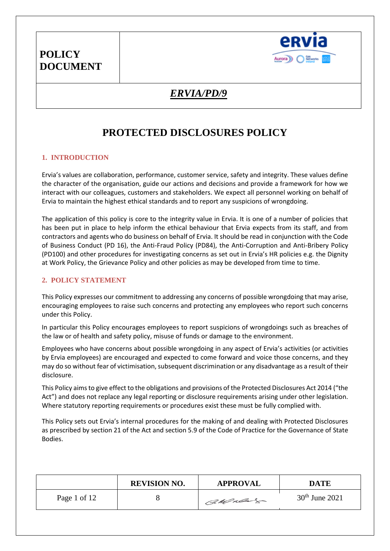

## *ERVIA/PD/9*

# **PROTECTED DISCLOSURES POLICY**

### **1. INTRODUCTION**

Ervia's values are collaboration, performance, customer service, safety and integrity. These values define the character of the organisation, guide our actions and decisions and provide a framework for how we interact with our colleagues, customers and stakeholders. We expect all personnel working on behalf of Ervia to maintain the highest ethical standards and to report any suspicions of wrongdoing.

The application of this policy is core to the integrity value in Ervia. It is one of a number of policies that has been put in place to help inform the ethical behaviour that Ervia expects from its staff, and from contractors and agents who do business on behalf of Ervia. It should be read in conjunction with the Code of Business Conduct (PD 16), the Anti-Fraud Policy (PD84), the Anti-Corruption and Anti-Bribery Policy (PD100) and other procedures for investigating concerns as set out in Ervia's HR policies e.g. the Dignity at Work Policy, the Grievance Policy and other policies as may be developed from time to time.

#### **2. POLICY STATEMENT**

This Policy expresses our commitment to addressing any concerns of possible wrongdoing that may arise, encouraging employees to raise such concerns and protecting any employees who report such concerns under this Policy.

In particular this Policy encourages employees to report suspicions of wrongdoings such as breaches of the law or of health and safety policy, misuse of funds or damage to the environment.

Employees who have concerns about possible wrongdoing in any aspect of Ervia's activities (or activities by Ervia employees) are encouraged and expected to come forward and voice those concerns, and they may do so without fear of victimisation, subsequent discrimination or any disadvantage as a result of their disclosure.

This Policy aims to give effect to the obligations and provisions of the Protected Disclosures Act 2014 ("the Act") and does not replace any legal reporting or disclosure requirements arising under other legislation. Where statutory reporting requirements or procedures exist these must be fully complied with.

This Policy sets out Ervia's internal procedures for the making of and dealing with Protected Disclosures as prescribed by section 21 of the Act and section 5.9 of the Code of Practice for the Governance of State Bodies.

|              | <b>REVISION NO.</b> | <b>APPROVAL</b> | DATE             |
|--------------|---------------------|-----------------|------------------|
| Page 1 of 12 |                     | CaMulage        | $30th$ June 2021 |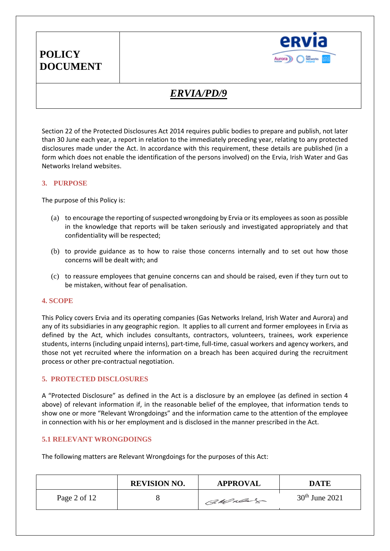

# *ERVIA/PD/9*

Section 22 of the Protected Disclosures Act 2014 requires public bodies to prepare and publish, not later than 30 June each year, a report in relation to the immediately preceding year, relating to any protected disclosures made under the Act. In accordance with this requirement, these details are published (in a form which does not enable the identification of the persons involved) on the Ervia, Irish Water and Gas Networks Ireland websites.

#### **3. PURPOSE**

The purpose of this Policy is:

- (a) to encourage the reporting of suspected wrongdoing by Ervia or its employees as soon as possible in the knowledge that reports will be taken seriously and investigated appropriately and that confidentiality will be respected;
- (b) to provide guidance as to how to raise those concerns internally and to set out how those concerns will be dealt with; and
- (c) to reassure employees that genuine concerns can and should be raised, even if they turn out to be mistaken, without fear of penalisation.

#### **4. SCOPE**

This Policy covers Ervia and its operating companies (Gas Networks Ireland, Irish Water and Aurora) and any of its subsidiaries in any geographic region. It applies to all current and former employees in Ervia as defined by the Act, which includes consultants, contractors, volunteers, trainees, work experience students, interns (including unpaid interns), part-time, full-time, casual workers and agency workers, and those not yet recruited where the information on a breach has been acquired during the recruitment process or other pre-contractual negotiation.

#### **5. PROTECTED DISCLOSURES**

A "Protected Disclosure" as defined in the Act is a disclosure by an employee (as defined in section 4 above) of relevant information if, in the reasonable belief of the employee, that information tends to show one or more "Relevant Wrongdoings" and the information came to the attention of the employee in connection with his or her employment and is disclosed in the manner prescribed in the Act.

#### **5.1 RELEVANT WRONGDOINGS**

The following matters are Relevant Wrongdoings for the purposes of this Act:

|              | <b>REVISION NO.</b> | <b>APPROVAL</b> | DATE             |
|--------------|---------------------|-----------------|------------------|
| Page 2 of 12 |                     | Callacher       | $30th$ June 2021 |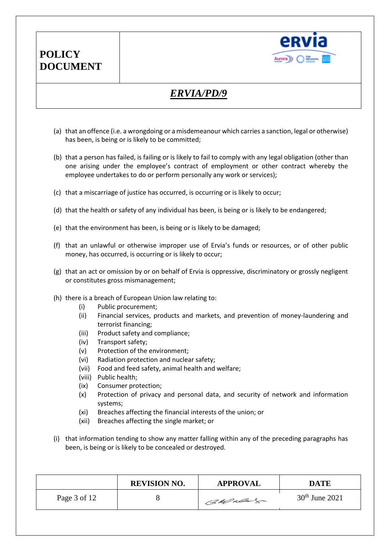

# *ERVIA/PD/9*

- (a) that an offence (i.e. a wrongdoing or a misdemeanour which carries a sanction, legal or otherwise) has been, is being or is likely to be committed;
- (b) that a person has failed, is failing or is likely to fail to comply with any legal obligation (other than one arising under the employee's contract of employment or other contract whereby the employee undertakes to do or perform personally any work or services);
- (c) that a miscarriage of justice has occurred, is occurring or is likely to occur;
- (d) that the health or safety of any individual has been, is being or is likely to be endangered;
- (e) that the environment has been, is being or is likely to be damaged;
- (f) that an unlawful or otherwise improper use of Ervia's funds or resources, or of other public money, has occurred, is occurring or is likely to occur;
- (g) that an act or omission by or on behalf of Ervia is oppressive, discriminatory or grossly negligent or constitutes gross mismanagement;
- (h) there is a breach of European Union law relating to:
	- (i) Public procurement;
	- (ii) Financial services, products and markets, and prevention of money-laundering and terrorist financing;
	- (iii) Product safety and compliance;
	- (iv) Transport safety;
	- (v) Protection of the environment;
	- (vi) Radiation protection and nuclear safety;
	- (vii) Food and feed safety, animal health and welfare;
	- (viii) Public health;
	- (ix) Consumer protection;
	- (x) Protection of privacy and personal data, and security of network and information systems;
	- (xi) Breaches affecting the financial interests of the union; or
	- (xii) Breaches affecting the single market; or
- (i) that information tending to show any matter falling within any of the preceding paragraphs has been, is being or is likely to be concealed or destroyed.

|              | <b>REVISION NO.</b> | <b>APPROVAL</b> | <b>DATE</b>      |
|--------------|---------------------|-----------------|------------------|
| Page 3 of 12 |                     | CaMulage        | $30th$ June 2021 |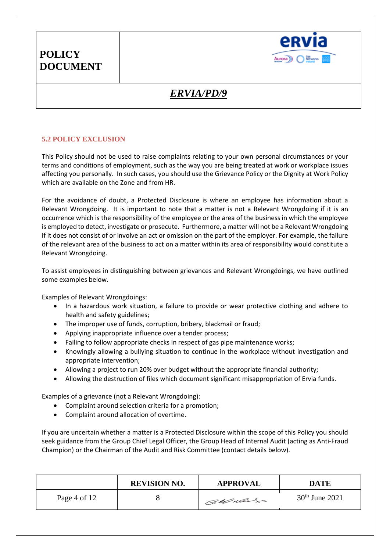

# *ERVIA/PD/9*

### **5.2 POLICY EXCLUSION**

This Policy should not be used to raise complaints relating to your own personal circumstances or your terms and conditions of employment, such as the way you are being treated at work or workplace issues affecting you personally. In such cases, you should use the Grievance Policy or the Dignity at Work Policy which are available on the Zone and from HR.

For the avoidance of doubt, a Protected Disclosure is where an employee has information about a Relevant Wrongdoing. It is important to note that a matter is not a Relevant Wrongdoing if it is an occurrence which is the responsibility of the employee or the area of the business in which the employee is employed to detect, investigate or prosecute. Furthermore, a matter will not be a Relevant Wrongdoing if it does not consist of or involve an act or omission on the part of the employer. For example, the failure of the relevant area of the business to act on a matter within its area of responsibility would constitute a Relevant Wrongdoing.

To assist employees in distinguishing between grievances and Relevant Wrongdoings, we have outlined some examples below.

Examples of Relevant Wrongdoings:

- In a hazardous work situation, a failure to provide or wear protective clothing and adhere to health and safety guidelines;
- The improper use of funds, corruption, bribery, blackmail or fraud;
- Applying inappropriate influence over a tender process;
- Failing to follow appropriate checks in respect of gas pipe maintenance works;
- Knowingly allowing a bullying situation to continue in the workplace without investigation and appropriate intervention;
- Allowing a project to run 20% over budget without the appropriate financial authority;
- Allowing the destruction of files which document significant misappropriation of Ervia funds.

Examples of a grievance (not a Relevant Wrongdoing):

- Complaint around selection criteria for a promotion;
- Complaint around allocation of overtime.

If you are uncertain whether a matter is a Protected Disclosure within the scope of this Policy you should seek guidance from the Group Chief Legal Officer, the Group Head of Internal Audit (acting as Anti-Fraud Champion) or the Chairman of the Audit and Risk Committee (contact details below).

|              | <b>REVISION NO.</b> | <b>APPROVAL</b> | <b>DATE</b>      |
|--------------|---------------------|-----------------|------------------|
| Page 4 of 12 |                     | CaMulage        | $30th$ June 2021 |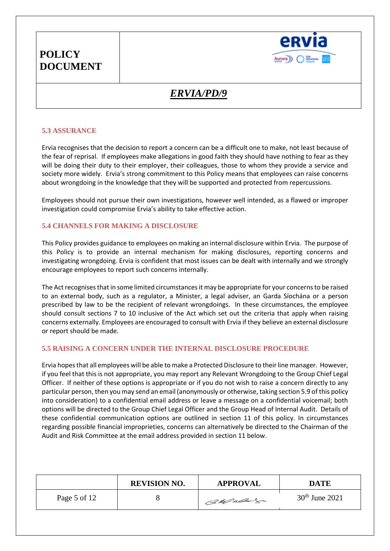

# *ERVIA/PD/9*

### **5.3 ASSURANCE**

Ervia recognises that the decision to report a concern can be a difficult one to make, not least because of the fear of reprisal. If employees make allegations in good faith they should have nothing to fear as they will be doing their duty to their employer, their colleagues, those to whom they provide a service and society more widely. Ervia's strong commitment to this Policy means that employees can raise concerns about wrongdoing in the knowledge that they will be supported and protected from repercussions.

Employees should not pursue their own investigations, however well intended, as a flawed or improper investigation could compromise Ervia's ability to take effective action.

#### **5.4 CHANNELS FOR MAKING A DISCLOSURE**

This Policy provides guidance to employees on making an internal disclosure within Ervia. The purpose of this Policy is to provide an internal mechanism for making disclosures, reporting concerns and investigating wrongdoing. Ervia is confident that most issues can be dealt with internally and we strongly encourage employees to report such concerns internally.

The Act recognises that in some limited circumstances it may be appropriate for your concerns to be raised to an external body, such as a regulator, a Minister, a legal adviser, an Garda Síochána or a person prescribed by law to be the recipient of relevant wrongdoings. In these circumstances, the employee should consult sections 7 to 10 inclusive of the Act which set out the criteria that apply when raising concerns externally. Employees are encouraged to consult with Ervia if they believe an external disclosure or report should be made.

#### **5.5 RAISING A CONCERN UNDER THE INTERNAL DISCLOSURE PROCEDURE**

Ervia hopes that all employees will be able to make a Protected Disclosure to their line manager. However, if you feel that this is not appropriate, you may report any Relevant Wrongdoing to the Group Chief Legal Officer. If neither of these options is appropriate or if you do not wish to raise a concern directly to any particular person, then you may send an email (anonymously or otherwise, taking section 5.9 of this policy into consideration) to a confidential email address or leave a message on a confidential voicemail; both options will be directed to the Group Chief Legal Officer and the Group Head of Internal Audit. Details of these confidential communication options are outlined in section 11 of this policy. In circumstances regarding possible financial improprieties, concerns can alternatively be directed to the Chairman of the Audit and Risk Committee at the email address provided in section 11 below.

|              | <b>REVISION NO.</b> | <b>APPROVAL</b> | <b>DATE</b>      |
|--------------|---------------------|-----------------|------------------|
| Page 5 of 12 |                     | CaMulas         | $30th$ June 2021 |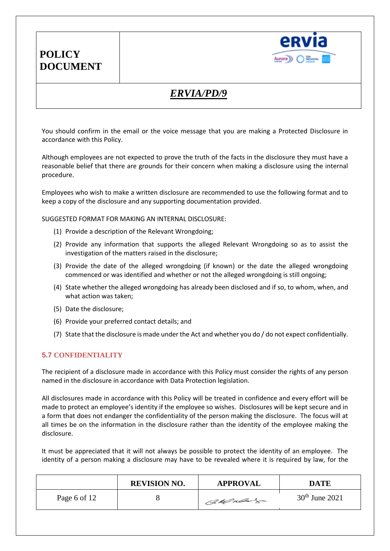

## *ERVIA/PD/9*

You should confirm in the email or the voice message that you are making a Protected Disclosure in accordance with this Policy.

Although employees are not expected to prove the truth of the facts in the disclosure they must have a reasonable belief that there are grounds for their concern when making a disclosure using the internal procedure.

Employees who wish to make a written disclosure are recommended to use the following format and to keep a copy of the disclosure and any supporting documentation provided.

SUGGESTED FORMAT FOR MAKING AN INTERNAL DISCLOSURE:

- (1) Provide a description of the Relevant Wrongdoing;
- (2) Provide any information that supports the alleged Relevant Wrongdoing so as to assist the investigation of the matters raised in the disclosure;
- (3) Provide the date of the alleged wrongdoing (if known) or the date the alleged wrongdoing commenced or was identified and whether or not the alleged wrongdoing is still ongoing;
- (4) State whether the alleged wrongdoing has already been disclosed and if so, to whom, when, and what action was taken;
- (5) Date the disclosure;
- (6) Provide your preferred contact details; and
- (7) State that the disclosure is made under the Act and whether you do / do not expect confidentially.

### **5.7 CONFIDENTIALITY**

The recipient of a disclosure made in accordance with this Policy must consider the rights of any person named in the disclosure in accordance with Data Protection legislation.

All disclosures made in accordance with this Policy will be treated in confidence and every effort will be made to protect an employee's identity if the employee so wishes. Disclosures will be kept secure and in a form that does not endanger the confidentiality of the person making the disclosure. The focus will at all times be on the information in the disclosure rather than the identity of the employee making the disclosure.

It must be appreciated that it will not always be possible to protect the identity of an employee. The identity of a person making a disclosure may have to be revealed where it is required by law, for the

|              | <b>REVISION NO.</b> | <b>APPROVAL</b> | DATE             |
|--------------|---------------------|-----------------|------------------|
| Page 6 of 12 |                     | CaMulas         | $30th$ June 2021 |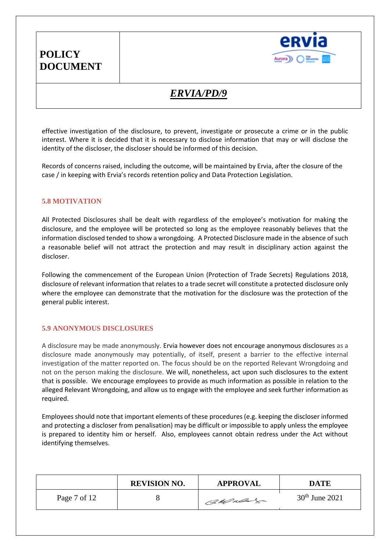

# *ERVIA/PD/9*

effective investigation of the disclosure, to prevent, investigate or prosecute a crime or in the public interest. Where it is decided that it is necessary to disclose information that may or will disclose the identity of the discloser, the discloser should be informed of this decision.

Records of concerns raised, including the outcome, will be maintained by Ervia, after the closure of the case / in keeping with Ervia's records retention policy and Data Protection Legislation.

#### **5.8 MOTIVATION**

All Protected Disclosures shall be dealt with regardless of the employee's motivation for making the disclosure, and the employee will be protected so long as the employee reasonably believes that the information disclosed tended to show a wrongdoing. A Protected Disclosure made in the absence of such a reasonable belief will not attract the protection and may result in disciplinary action against the discloser.

Following the commencement of the European Union (Protection of Trade Secrets) Regulations 2018, disclosure of relevant information that relates to a trade secret will constitute a protected disclosure only where the employee can demonstrate that the motivation for the disclosure was the protection of the general public interest.

### **5.9 ANONYMOUS DISCLOSURES**

A disclosure may be made anonymously. Ervia however does not encourage anonymous disclosures as a disclosure made anonymously may potentially, of itself, present a barrier to the effective internal investigation of the matter reported on. The focus should be on the reported Relevant Wrongdoing and not on the person making the disclosure. We will, nonetheless, act upon such disclosures to the extent that is possible. We encourage employees to provide as much information as possible in relation to the alleged Relevant Wrongdoing, and allow us to engage with the employee and seek further information as required.

Employees should note that important elements of these procedures (e.g. keeping the discloser informed and protecting a discloser from penalisation) may be difficult or impossible to apply unless the employee is prepared to identity him or herself. Also, employees cannot obtain redress under the Act without identifying themselves.

|              | <b>REVISION NO.</b> | <b>APPROVAL</b> | DATE             |
|--------------|---------------------|-----------------|------------------|
| Page 7 of 12 |                     | CaMulas         | $30th$ June 2021 |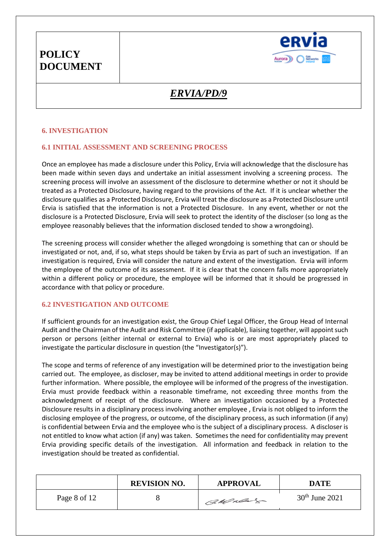

# *ERVIA/PD/9*

### **6. INVESTIGATION**

### **6.1 INITIAL ASSESSMENT AND SCREENING PROCESS**

Once an employee has made a disclosure under this Policy, Ervia will acknowledge that the disclosure has been made within seven days and undertake an initial assessment involving a screening process. The screening process will involve an assessment of the disclosure to determine whether or not it should be treated as a Protected Disclosure, having regard to the provisions of the Act. If it is unclear whether the disclosure qualifies as a Protected Disclosure, Ervia will treat the disclosure as a Protected Disclosure until Ervia is satisfied that the information is not a Protected Disclosure. In any event, whether or not the disclosure is a Protected Disclosure, Ervia will seek to protect the identity of the discloser (so long as the employee reasonably believes that the information disclosed tended to show a wrongdoing).

The screening process will consider whether the alleged wrongdoing is something that can or should be investigated or not, and, if so, what steps should be taken by Ervia as part of such an investigation. If an investigation is required, Ervia will consider the nature and extent of the investigation. Ervia will inform the employee of the outcome of its assessment. If it is clear that the concern falls more appropriately within a different policy or procedure, the employee will be informed that it should be progressed in accordance with that policy or procedure.

#### **6.2 INVESTIGATION AND OUTCOME**

If sufficient grounds for an investigation exist, the Group Chief Legal Officer, the Group Head of Internal Audit and the Chairman of the Audit and Risk Committee (if applicable), liaising together, will appoint such person or persons (either internal or external to Ervia) who is or are most appropriately placed to investigate the particular disclosure in question (the "Investigator(s)").

The scope and terms of reference of any investigation will be determined prior to the investigation being carried out. The employee, as discloser, may be invited to attend additional meetings in order to provide further information. Where possible, the employee will be informed of the progress of the investigation. Ervia must provide feedback within a reasonable timeframe, not exceeding three months from the acknowledgment of receipt of the disclosure. Where an investigation occasioned by a Protected Disclosure results in a disciplinary process involving another employee , Ervia is not obliged to inform the disclosing employee of the progress, or outcome, of the disciplinary process, as such information (if any) is confidential between Ervia and the employee who is the subject of a disciplinary process. A discloser is not entitled to know what action (if any) was taken. Sometimes the need for confidentiality may prevent Ervia providing specific details of the investigation. All information and feedback in relation to the investigation should be treated as confidential.

|              | <b>REVISION NO.</b> | <b>APPROVAL</b> | DATE             |
|--------------|---------------------|-----------------|------------------|
| Page 8 of 12 |                     | CaMulas         | $30th$ June 2021 |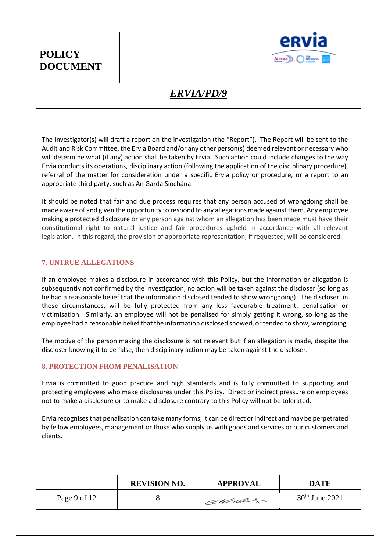

# *ERVIA/PD/9*

The Investigator(s) will draft a report on the investigation (the "Report"). The Report will be sent to the Audit and Risk Committee, the Ervia Board and/or any other person(s) deemed relevant or necessary who will determine what (if any) action shall be taken by Ervia. Such action could include changes to the way Ervia conducts its operations, disciplinary action (following the application of the disciplinary procedure), referral of the matter for consideration under a specific Ervia policy or procedure, or a report to an appropriate third party, such as An Garda Síochána.

It should be noted that fair and due process requires that any person accused of wrongdoing shall be made aware of and given the opportunity to respond to any allegations made against them. Any employee making a protected disclosure or any person against whom an allegation has been made must have their constitutional right to natural justice and fair procedures upheld in accordance with all relevant legislation. In this regard, the provision of appropriate representation, if requested, will be considered.

### **7. UNTRUE ALLEGATIONS**

If an employee makes a disclosure in accordance with this Policy, but the information or allegation is subsequently not confirmed by the investigation, no action will be taken against the discloser (so long as he had a reasonable belief that the information disclosed tended to show wrongdoing). The discloser, in these circumstances, will be fully protected from any less favourable treatment, penalisation or victimisation. Similarly, an employee will not be penalised for simply getting it wrong, so long as the employee had a reasonable belief that the information disclosed showed, or tended to show, wrongdoing.

The motive of the person making the disclosure is not relevant but if an allegation is made, despite the discloser knowing it to be false, then disciplinary action may be taken against the discloser.

#### **8. PROTECTION FROM PENALISATION**

Ervia is committed to good practice and high standards and is fully committed to supporting and protecting employees who make disclosures under this Policy. Direct or indirect pressure on employees not to make a disclosure or to make a disclosure contrary to this Policy will not be tolerated.

Ervia recognises that penalisation can take many forms; it can be direct or indirect and may be perpetrated by fellow employees, management or those who supply us with goods and services or our customers and clients.

|              | <b>REVISION NO.</b> | <b>APPROVAL</b> | DATE             |
|--------------|---------------------|-----------------|------------------|
| Page 9 of 12 |                     | CaMulas         | $30th$ June 2021 |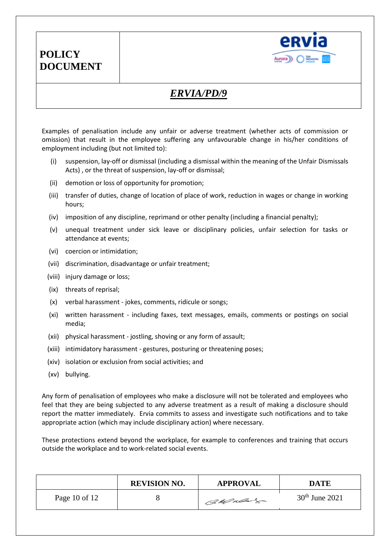

## *ERVIA/PD/9*

Examples of penalisation include any unfair or adverse treatment (whether acts of commission or omission) that result in the employee suffering any unfavourable change in his/her conditions of employment including (but not limited to):

- (i) suspension, lay-off or dismissal (including a dismissal within the meaning of the Unfair Dismissals Acts) , or the threat of suspension, lay-off or dismissal;
- (ii) demotion or loss of opportunity for promotion;
- (iii) transfer of duties, change of location of place of work, reduction in wages or change in working hours;
- (iv) imposition of any discipline, reprimand or other penalty (including a financial penalty);
- (v) unequal treatment under sick leave or disciplinary policies, unfair selection for tasks or attendance at events;
- (vi) coercion or intimidation;
- (vii) discrimination, disadvantage or unfair treatment;
- (viii) injury damage or loss;
- (ix) threats of reprisal;
- (x) verbal harassment jokes, comments, ridicule or songs;
- (xi) written harassment including faxes, text messages, emails, comments or postings on social media;
- (xii) physical harassment jostling, shoving or any form of assault;
- (xiii) intimidatory harassment gestures, posturing or threatening poses;
- (xiv) isolation or exclusion from social activities; and
- (xv) bullying.

Any form of penalisation of employees who make a disclosure will not be tolerated and employees who feel that they are being subjected to any adverse treatment as a result of making a disclosure should report the matter immediately. Ervia commits to assess and investigate such notifications and to take appropriate action (which may include disciplinary action) where necessary.

These protections extend beyond the workplace, for example to conferences and training that occurs outside the workplace and to work-related social events.

|               | <b>REVISION NO.</b> | <b>APPROVAL</b> | DATE             |
|---------------|---------------------|-----------------|------------------|
| Page 10 of 12 |                     | CaMulas         | $30th$ June 2021 |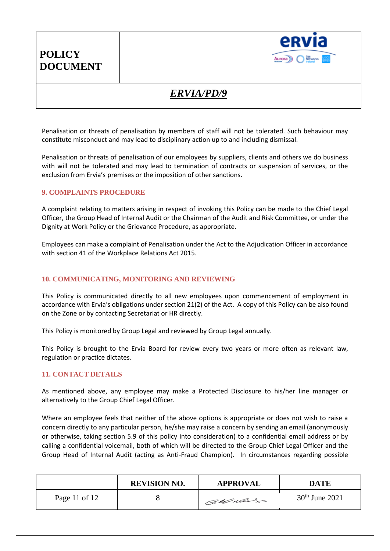

## *ERVIA/PD/9*

Penalisation or threats of penalisation by members of staff will not be tolerated. Such behaviour may constitute misconduct and may lead to disciplinary action up to and including dismissal.

Penalisation or threats of penalisation of our employees by suppliers, clients and others we do business with will not be tolerated and may lead to termination of contracts or suspension of services, or the exclusion from Ervia's premises or the imposition of other sanctions.

#### **9. COMPLAINTS PROCEDURE**

A complaint relating to matters arising in respect of invoking this Policy can be made to the Chief Legal Officer, the Group Head of Internal Audit or the Chairman of the Audit and Risk Committee, or under the Dignity at Work Policy or the Grievance Procedure, as appropriate.

Employees can make a complaint of Penalisation under the Act to the Adjudication Officer in accordance with section 41 of the Workplace Relations Act 2015.

#### **10. COMMUNICATING, MONITORING AND REVIEWING**

This Policy is communicated directly to all new employees upon commencement of employment in accordance with Ervia's obligations under section 21(2) of the Act. A copy of this Policy can be also found on the Zone or by contacting Secretariat or HR directly.

This Policy is monitored by Group Legal and reviewed by Group Legal annually.

This Policy is brought to the Ervia Board for review every two years or more often as relevant law, regulation or practice dictates.

#### **11. CONTACT DETAILS**

As mentioned above, any employee may make a Protected Disclosure to his/her line manager or alternatively to the Group Chief Legal Officer.

Where an employee feels that neither of the above options is appropriate or does not wish to raise a concern directly to any particular person, he/she may raise a concern by sending an email (anonymously or otherwise, taking section 5.9 of this policy into consideration) to a confidential email address or by calling a confidential voicemail, both of which will be directed to the Group Chief Legal Officer and the Group Head of Internal Audit (acting as Anti-Fraud Champion). In circumstances regarding possible

|                 | <b>REVISION NO.</b> | <b>APPROVAL</b> | DATE             |
|-----------------|---------------------|-----------------|------------------|
| Page 11 of $12$ |                     | CaMulage        | $30th$ June 2021 |